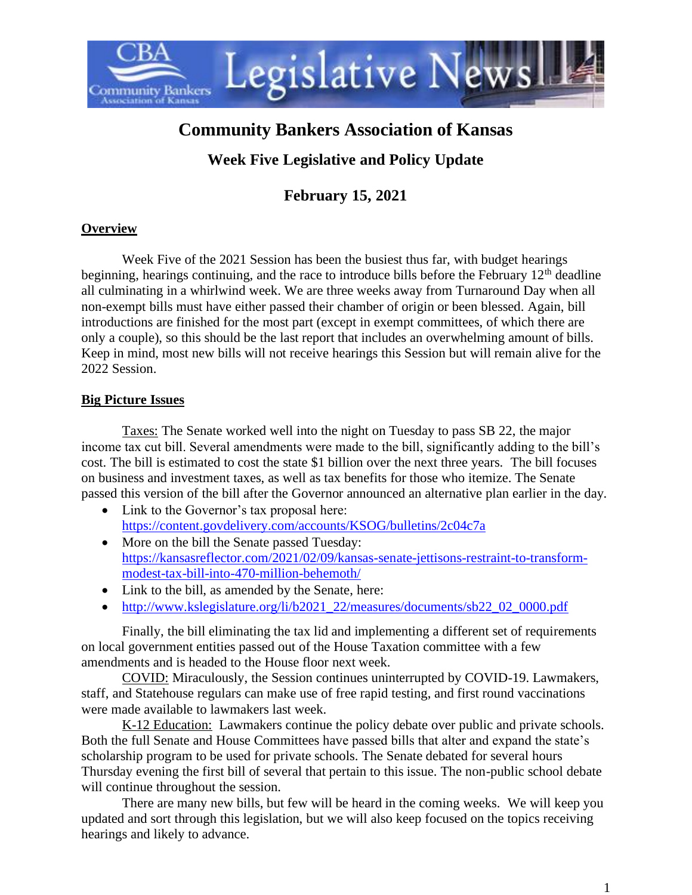

# **Community Bankers Association of Kansas**

# **Week Five Legislative and Policy Update**

# **February 15, 2021**

# **Overview**

Week Five of the 2021 Session has been the busiest thus far, with budget hearings beginning, hearings continuing, and the race to introduce bills before the February  $12<sup>th</sup>$  deadline all culminating in a whirlwind week. We are three weeks away from Turnaround Day when all non-exempt bills must have either passed their chamber of origin or been blessed. Again, bill introductions are finished for the most part (except in exempt committees, of which there are only a couple), so this should be the last report that includes an overwhelming amount of bills. Keep in mind, most new bills will not receive hearings this Session but will remain alive for the 2022 Session.

#### **Big Picture Issues**

Taxes: The Senate worked well into the night on Tuesday to pass SB 22, the major income tax cut bill. Several amendments were made to the bill, significantly adding to the bill's cost. The bill is estimated to cost the state \$1 billion over the next three years. The bill focuses on business and investment taxes, as well as tax benefits for those who itemize. The Senate passed this version of the bill after the Governor announced an alternative plan earlier in the day.

- Link to the Governor's tax proposal here: <https://content.govdelivery.com/accounts/KSOG/bulletins/2c04c7a>
- More on the bill the Senate passed Tuesday: [https://kansasreflector.com/2021/02/09/kansas-senate-jettisons-restraint-to-transform](https://kansasreflector.com/2021/02/09/kansas-senate-jettisons-restraint-to-transform-modest-tax-bill-into-470-million-behemoth/)[modest-tax-bill-into-470-million-behemoth/](https://kansasreflector.com/2021/02/09/kansas-senate-jettisons-restraint-to-transform-modest-tax-bill-into-470-million-behemoth/)
- Link to the bill, as amended by the Senate, here:
- [http://www.kslegislature.org/li/b2021\\_22/measures/documents/sb22\\_02\\_0000.pdf](http://www.kslegislature.org/li/b2021_22/measures/documents/sb22_02_0000.pdf)

Finally, the bill eliminating the tax lid and implementing a different set of requirements on local government entities passed out of the House Taxation committee with a few amendments and is headed to the House floor next week.

COVID: Miraculously, the Session continues uninterrupted by COVID-19. Lawmakers, staff, and Statehouse regulars can make use of free rapid testing, and first round vaccinations were made available to lawmakers last week.

K-12 Education: Lawmakers continue the policy debate over public and private schools. Both the full Senate and House Committees have passed bills that alter and expand the state's scholarship program to be used for private schools. The Senate debated for several hours Thursday evening the first bill of several that pertain to this issue. The non-public school debate will continue throughout the session.

There are many new bills, but few will be heard in the coming weeks. We will keep you updated and sort through this legislation, but we will also keep focused on the topics receiving hearings and likely to advance.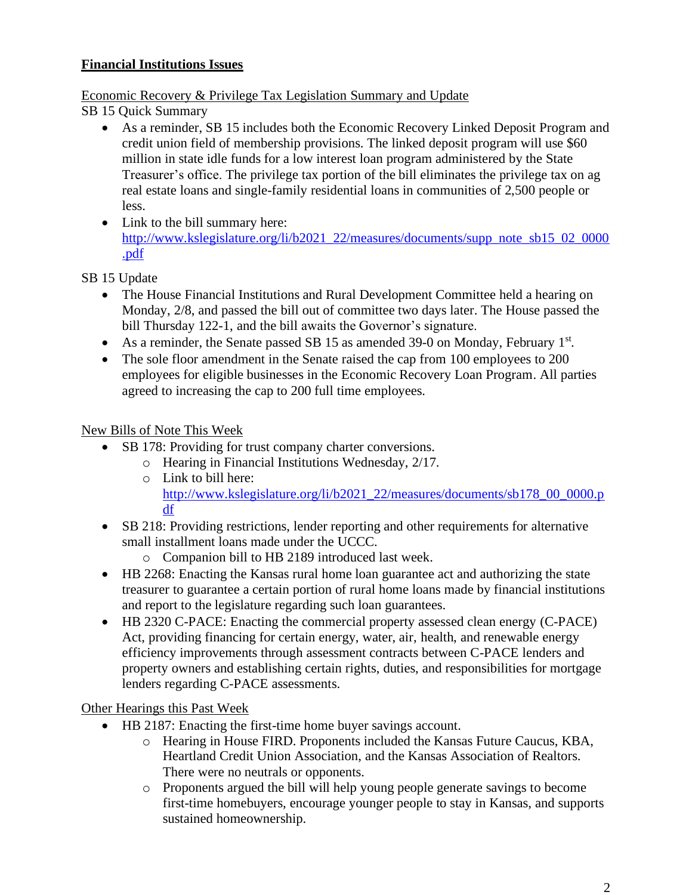# **Financial Institutions Issues**

#### Economic Recovery & Privilege Tax Legislation Summary and Update

SB 15 Quick Summary

- As a reminder, SB 15 includes both the Economic Recovery Linked Deposit Program and credit union field of membership provisions. The linked deposit program will use \$60 million in state idle funds for a low interest loan program administered by the State Treasurer's office. The privilege tax portion of the bill eliminates the privilege tax on ag real estate loans and single-family residential loans in communities of 2,500 people or less.
- Link to the bill summary here: [http://www.kslegislature.org/li/b2021\\_22/measures/documents/supp\\_note\\_sb15\\_02\\_0000](http://www.kslegislature.org/li/b2021_22/measures/documents/supp_note_sb15_02_0000.pdf) [.pdf](http://www.kslegislature.org/li/b2021_22/measures/documents/supp_note_sb15_02_0000.pdf)

SB 15 Update

- The House Financial Institutions and Rural Development Committee held a hearing on Monday, 2/8, and passed the bill out of committee two days later. The House passed the bill Thursday 122-1, and the bill awaits the Governor's signature.
- As a reminder, the Senate passed SB 15 as amended 39-0 on Monday, February 1<sup>st</sup>.
- The sole floor amendment in the Senate raised the cap from 100 employees to 200 employees for eligible businesses in the Economic Recovery Loan Program. All parties agreed to increasing the cap to 200 full time employees.

#### New Bills of Note This Week

- SB 178: Providing for trust company charter conversions.
	- o Hearing in Financial Institutions Wednesday, 2/17.
		- o Link to bill here: [http://www.kslegislature.org/li/b2021\\_22/measures/documents/sb178\\_00\\_0000.p](http://www.kslegislature.org/li/b2021_22/measures/documents/sb178_00_0000.pdf) [df](http://www.kslegislature.org/li/b2021_22/measures/documents/sb178_00_0000.pdf)
- SB 218: Providing restrictions, lender reporting and other requirements for alternative small installment loans made under the UCCC.
	- o Companion bill to HB 2189 introduced last week.
- HB 2268: Enacting the Kansas rural home loan guarantee act and authorizing the state treasurer to guarantee a certain portion of rural home loans made by financial institutions and report to the legislature regarding such loan guarantees.
- HB 2320 C-PACE: Enacting the commercial property assessed clean energy (C-PACE) Act, providing financing for certain energy, water, air, health, and renewable energy efficiency improvements through assessment contracts between C-PACE lenders and property owners and establishing certain rights, duties, and responsibilities for mortgage lenders regarding C-PACE assessments.

Other Hearings this Past Week

- HB 2187: Enacting the first-time home buyer savings account.
	- o Hearing in House FIRD. Proponents included the Kansas Future Caucus, KBA, Heartland Credit Union Association, and the Kansas Association of Realtors. There were no neutrals or opponents.
	- o Proponents argued the bill will help young people generate savings to become first-time homebuyers, encourage younger people to stay in Kansas, and supports sustained homeownership.